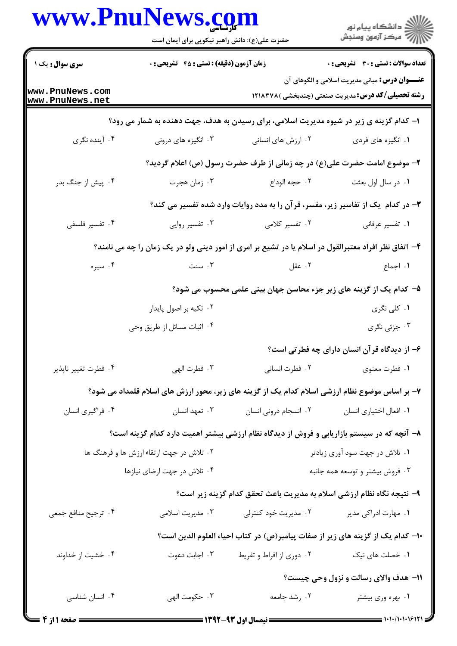|                      | www.PnuNews.com<br>حضرت علی(ع): دانش راهبر نیکویی برای ایمان است                                                                       |                                                                                  | ِ<br>∭ دانشڪاه پيام نور<br>∭ مرڪز آزمون وسنڊش                                                                       |
|----------------------|----------------------------------------------------------------------------------------------------------------------------------------|----------------------------------------------------------------------------------|---------------------------------------------------------------------------------------------------------------------|
| سری سوال: یک ۱       | زمان آزمون (دقیقه) : تستی : 45 گتشریحی : 0                                                                                             |                                                                                  | <b>تعداد سوالات : تستي : 30 ٪ تشريحي : 0</b>                                                                        |
| www.PnuNews.com      |                                                                                                                                        |                                                                                  | <b>عنـــوان درس:</b> مبانی مدیریت اسلامی و الگوهای آن<br><b>رشته تحصیلی/کد درس:</b> مدیریت صنعتی (چندبخشی ) ۱۲۱۸۳۷۸ |
| www.PnuNews.net      |                                                                                                                                        |                                                                                  |                                                                                                                     |
|                      | ا- کدام گزینه ی زیر در شیوه مدیریت اسلامی، برای رسیدن به هدف، جهت دهنده به شمار می رود؟                                                |                                                                                  |                                                                                                                     |
| ۰۴ آینده نگری        | ۰۳ انگیزه های درونی                                                                                                                    | ۰۲ ارزش های انسانی                                                               | ۰۱ انگیزه های فردی                                                                                                  |
|                      |                                                                                                                                        | ۲- موضوع امامت حضرت علی(ع) در چه زمانی از طرف حضرت رسول (ص) اعلام گردید؟         |                                                                                                                     |
| ۰۴ پیش از جنگ بدر    | ۰۳ زمان هجرت                                                                                                                           | ٢.  حجه الوداع                                                                   | ٠١ در سال اول بعثت                                                                                                  |
|                      |                                                                                                                                        | ۳- در کدام ًیک از تفاسیر زیر، مفسر، قرآن را به مدد روایات وارد شده تفسیر می کند؟ |                                                                                                                     |
| ۰۴ تفسیر فلسفی       | ۰۳ تفسیر روایی                                                                                                                         | ۰۲ تفسیر کلامی                                                                   | ۰۱ تفسیر عرفانی                                                                                                     |
|                      | ۴- اتفاق نظر افراد معتبرالقول در اسلام یا در تشیع بر امری از امور دینی ولو در یک زمان را چه می نامند؟                                  |                                                                                  |                                                                                                                     |
| ۰۴ سیره              | ۰۳ سنت                                                                                                                                 | ۰۲ عقل                                                                           | ۰۱ اجماع                                                                                                            |
|                      |                                                                                                                                        | ۵– کدام یک از گزینه های زیر جزء محاسن جهان بینی علمی محسوب می شود؟               |                                                                                                                     |
|                      | ۰۲ تکیه بر اصول پایدار                                                                                                                 |                                                                                  | ۱. کلی نگری                                                                                                         |
|                      | ۰۴ اثبات مسائل از طریق وحی                                                                                                             |                                                                                  | ۰۳ جزئی نگری                                                                                                        |
|                      |                                                                                                                                        |                                                                                  | ۶– از دیدگاه قرآن انسان دارای چه فطرتی است؟                                                                         |
| ۰۴ فطرت تغيير ناپذير | ۰۳ فطرت الهي                                                                                                                           | ۰۲ فطرت انسانی                                                                   | ٠١ فطرت معنوي                                                                                                       |
|                      | ۷– بر اساس موضوع نظام ارزشی اسلام کدام یک از گزینه های زیر، محور ارزش های اسلام قلمداد می شود؟                                         |                                                                                  |                                                                                                                     |
| ۰۴ فراگیری انسان     | ۰۳ تعهد انسان                                                                                                                          | ۰۲ انسجام درونی انسان                                                            | ٠١ افعال اختياري انسان                                                                                              |
|                      |                                                                                                                                        |                                                                                  |                                                                                                                     |
|                      | ۸– آنچه که در سیستم بازاریابی و فروش از دیدگاه نظام ارزشی بیشتر اهمیت دارد کدام گزینه است؟<br>۰۲ تلاش در جهت ارتقاء ارزش ها و فرهنگ ها |                                                                                  | ۰۱ تلاش در جهت سود آوری زیادتر                                                                                      |
|                      | ۰۴ تلاش در جهت ارضای نیازها                                                                                                            |                                                                                  | ۰۳ فروش بیشتر و توسعه همه جانبه                                                                                     |
|                      |                                                                                                                                        |                                                                                  |                                                                                                                     |
|                      |                                                                                                                                        | ۹- نتیجه نگاه نظام ارزشی اسلام به مدیریت باعث تحقق کدام گزینه زیر است؟           |                                                                                                                     |
| ۰۴ ترجيح منافع جمعي  | ۰۳ مدیریت اسلامی                                                                                                                       | ۰۲ مدیریت خود کنترلی                                                             | ۰۱ مهارت ادراکی مدیر                                                                                                |
|                      |                                                                                                                                        | ∙ا− كدام يك از گزينه هاي زير از صفات پيامبر(ص) در كتاب احياء العلوم الدين است؟   |                                                                                                                     |
| ۰۴ خشیت از خداوند    | ۰۳ اجابت دعوت                                                                                                                          | ۰۲ دوری از افراط و تفریط                                                         | ۰۱ خصلت های نیک                                                                                                     |
|                      |                                                                                                                                        |                                                                                  | 11- هدف والای رسالت و نزول وحی چیست؟                                                                                |
| ۰۴ انسان شناسی       | ۰۳ حکومت الهی                                                                                                                          | ۰۲ رشد جامعه                                                                     | ۰۱ بهره وری بیشتر                                                                                                   |
|                      |                                                                                                                                        |                                                                                  |                                                                                                                     |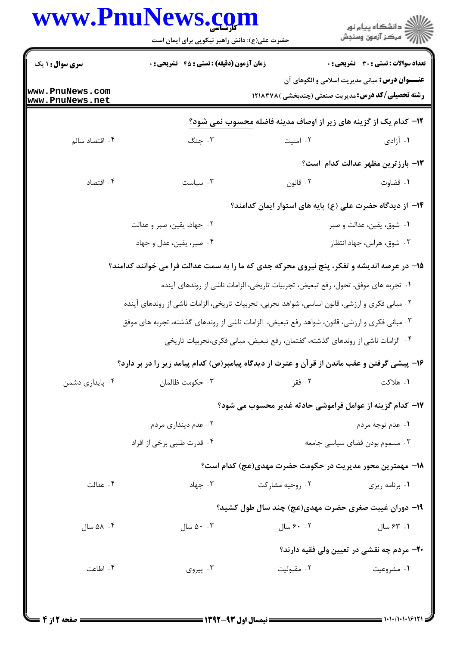## www.PnuNews.com

|                                    | www.PnuNews.com<br>حضرت علی(ع): دانش راهبر نیکویی برای ایمان است                               |                 | ِ<br>∭ دانشڪاه پيام نور<br>∭ مرڪز آزمون وسنڊش                                                                      |
|------------------------------------|------------------------------------------------------------------------------------------------|-----------------|--------------------------------------------------------------------------------------------------------------------|
| <b>سری سوال : ۱ یک</b>             | <b>زمان آزمون (دقیقه) : تستی : 45 قشریحی : 0</b>                                               |                 | <b>تعداد سوالات : تستي : 30 ٪ تشريحي : 0</b>                                                                       |
| www.PnuNews.com<br>www.PnuNews.net |                                                                                                |                 | <b>عنـــوان درس:</b> مبانی مدیریت اسلامی و الگوهای آن<br><b>رشته تحصیلی/کد درس:</b> مدیریت صنعتی (چندبخشی )۱۲۱۸۳۷۸ |
|                                    |                                                                                                |                 | ۱۲- کدام یک از گزینه های زیر از اوصاف مدینه فاضله محسوب نمی شود؟                                                   |
| ۰۴ اقتصاد سالم                     | ۰۳ جنگ                                                                                         | ۰۲ امنیت        | ۰۱ آزادی                                                                                                           |
|                                    |                                                                                                |                 | 13- بارزترين مظهر عدالت كدام است؟                                                                                  |
| ۰۴ اقتصاد                          | ۰۳ سیاست                                                                                       | ۰۲ قانون        | ٠١. قضاوت                                                                                                          |
|                                    |                                                                                                |                 | ۱۴– از دیدگاه حضرت علی (ع) پایه های استوار ایمان کدامند؟                                                           |
|                                    | ۰۲ جهاد، يقين، صبر و عدالت                                                                     |                 | ۰۱ شوق، یقین، عدالت و صبر                                                                                          |
|                                    | ۰۴ صبر، یقین، عدل و جهاد                                                                       |                 | ۰۳ شوق، هراس، جهاد انتظار                                                                                          |
|                                    | ۱۵- در عرصه اندیشه و تفکر، پنج نیروی محرکه جدی که ما را به سمت عدالت فرا می خوانند کدامند؟     |                 |                                                                                                                    |
|                                    | ٠١ تجربه هاى موفق، تحول، رفع تبعيض، تجربيات تاريخي، الزامات ناشى از روندهاى آينده              |                 |                                                                                                                    |
|                                    | ۰۲ مبانی فکری و ارزشی، قانون اساسی، شواهد تجربی، تجربیات تاریخی، الزامات ناشی از روندهای آینده |                 |                                                                                                                    |
|                                    | ۰۳ مبانی فکری و ارزشی، قانون، شواهد رفع تبعیض، الزامات ناشی از روندهای گذشته، تجربه های موفق   |                 |                                                                                                                    |
|                                    | ۰۴ الزامات ناشي از روندهاي گذشته، گفتمان، رفع تبعيض، مباني فكري،تجربيات تاريخي                 |                 |                                                                                                                    |
|                                    | ۱۶- پیشی گرفتن و عقب ماندن از قرآن و عترت از دیدگاه پیامبر(ص) کدام پیامد زیر را در بر دارد؟    |                 |                                                                                                                    |
| ۰۴ پایداری دشمن                    | ۰۳ حکومت ظالمان                                                                                | ۲. فقر          | ۰۱ هلاکت                                                                                                           |
|                                    |                                                                                                |                 | ١٧- كدام گزينه از عوامل فراموشي حادثه غدير محسوب مي شود؟                                                           |
|                                    | ۰۲ عدم دینداری مردم                                                                            |                 | ۰۱ عدم توجه مردم                                                                                                   |
|                                    | ۰۴ قدرت طلبی برخی از افراد                                                                     |                 | ۰۳ مسموم بودن فضای سیاسی جامعه                                                                                     |
|                                    |                                                                                                |                 | ۱۸– مهمترین محور مدیریت در حکومت حضرت مهدی(عج) کدام است؟                                                           |
| ۰۴ عدالت                           | ۰۳ جهاد $\cdot$                                                                                | ۰۲ روحیه مشارکت | ۰۱ برنامه ریزی                                                                                                     |
|                                    |                                                                                                |                 | ۱۹- دوران غیبت صغری حضرت مهدی(عج) چند سال طول کشید؟                                                                |
| ۵۸ .۴ سال                          | $\Delta \cdot \cdot \cdot \mathsf{v}$ سال                                                      | ۰. ۶۰ سال       | ۰۱. ۶۳ سال                                                                                                         |
|                                    |                                                                                                |                 | <b>۲۰</b> - مردم چه نقشی در تعیین ولی فقیه دارند؟                                                                  |
| ۰۴ اطاعت                           | ۰۳ پیروی                                                                                       | ۰۲ مقبولیت      | ۰۱ مشروعیت                                                                                                         |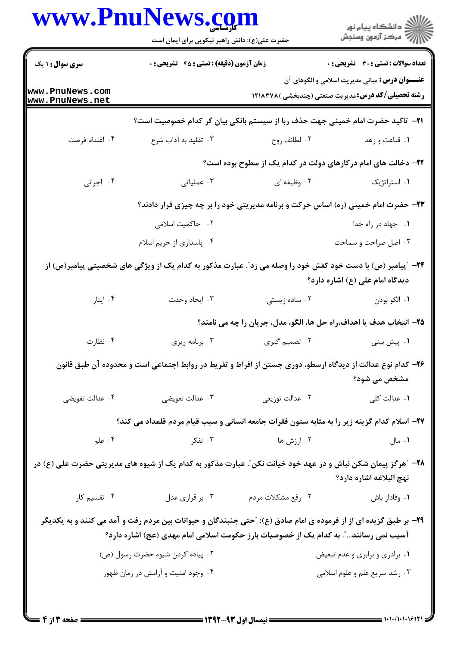|                                                                                                              | حضرت علی(ع): دانش راهبر نیکویی برای ایمان است                                     |                                                                                                                                                                                                            | ڪ دانشڪاه پيام نور<br>ر∕ = مرڪز آزمون وسنڊش                                                                        |  |
|--------------------------------------------------------------------------------------------------------------|-----------------------------------------------------------------------------------|------------------------------------------------------------------------------------------------------------------------------------------------------------------------------------------------------------|--------------------------------------------------------------------------------------------------------------------|--|
| سری سوال : ۱ یک                                                                                              | <b>زمان آزمون (دقیقه) : تستی : 45 قشریحی : 0</b>                                  |                                                                                                                                                                                                            | تعداد سوالات : تستي : 30 ٪ تشريحي : 0                                                                              |  |
| www.PnuNews.com<br>www.PnuNews.net                                                                           |                                                                                   |                                                                                                                                                                                                            | <b>عنـــوان درس:</b> مبانی مدیریت اسلامی و الگوهای آن<br><b>رشته تحصیلی/کد درس:</b> مدیریت صنعتی (چندبخشی )۱۲۱۸۳۷۸ |  |
|                                                                                                              |                                                                                   | <del>۲</del> ۱− تاکید حضرت امام خمینی جهت حذف ربا از سیستم بانکی بیان گر کدام خصوصیت است؟                                                                                                                  |                                                                                                                    |  |
| ۰۴ اغتنام فرصت                                                                                               | ۰۳ تقلید به آداب شرع                                                              | ۰۲ لطائف روح                                                                                                                                                                                               | ۰۱ قناعت و زهد                                                                                                     |  |
|                                                                                                              |                                                                                   | ۲۲- دخالت های امام درکارهای دولت در کدام یک از سطوح بوده است؟                                                                                                                                              |                                                                                                                    |  |
| ۰۴ اجرائی                                                                                                    | ۰۳ عملیاتی                                                                        | ۰۲ وظیفه ای                                                                                                                                                                                                | ۰۱ استراتژیک                                                                                                       |  |
|                                                                                                              | ۲۳- حضرت امام خمینی (ره) اساس حرکت و برنامه مدیریتی خود را بر چه چیزی قرار دادند؟ |                                                                                                                                                                                                            |                                                                                                                    |  |
|                                                                                                              | ۲. حاکمیت اسلامی                                                                  |                                                                                                                                                                                                            | ۰۱ جهاد در راه خدا                                                                                                 |  |
|                                                                                                              | ۰۴ پاسداری از حریم اسلام                                                          |                                                                                                                                                                                                            | ۰۳ اصل صراحت و سماحت                                                                                               |  |
|                                                                                                              |                                                                                   | ۲۴- ″پیامبر (ص) با دست خود کفش خود را وصله می زد″. عبارت مذکور به کدام یک از ویژگی های شخصیتی پیامبر(ص) از                                                                                                 | دیدگاه امام علی (ع) اشاره دارد؟                                                                                    |  |
| ۰۴ ایثار                                                                                                     | ۰۳ ایجاد وحدت                                                                     | ۰۲ ساده زیستی                                                                                                                                                                                              | ٠١. الگو بودن                                                                                                      |  |
|                                                                                                              |                                                                                   | ۲۵– انتخاب هدف یا اهداف،راه حل ها، الگو، مدل، جریان را چه می نامند؟                                                                                                                                        |                                                                                                                    |  |
| ۰۴ نظارت                                                                                                     | ۰۳ برنامه ریزی                                                                    | ۰۲ تصمیم گیری                                                                                                                                                                                              | ۰۱ پیش بینی                                                                                                        |  |
|                                                                                                              |                                                                                   | ۲۶– کدام نوع عدالت از دیدگاه ارسطو، دوری جستن از افراط و تفریط در روابط اجتماعی است و محدوده آن طبق قانون                                                                                                  | مشخص می شود؟                                                                                                       |  |
| ۰۴ عدالت تفويضي                                                                                              | ۰۳ عدالت تعويضي                                                                   | ۰۲ عدالت توزیعی                                                                                                                                                                                            | ۰۱ عدالت کلی                                                                                                       |  |
|                                                                                                              |                                                                                   | ۲۷– اسلام کدام گزینه زیر را به مثابه ستون فقرات جامعه انسانی و سبب قیام مردم قلمداد می کند؟                                                                                                                |                                                                                                                    |  |
|                                                                                                              |                                                                                   | ۲. ارزش ها ۲۰۰ تفکر مستقری که شما                                                                                                                                                                          | ۰۱ مال                                                                                                             |  |
| ۲۸- ″هرگز پیمان شکن نباش و در عهد خود خیانت نکن″. عبارت مذکور به کدام یک از شیوه های مدیریتی حضرت علی (ع) در |                                                                                   |                                                                                                                                                                                                            | نهج البلاغه اشاره دارد؟                                                                                            |  |
| ۰۴ تقسیم کار                                                                                                 |                                                                                   | ۰۲ رفع مشکلات مردم سلمعدال استان بر قراری عدل                                                                                                                                                              | ٠١. وفادار باش                                                                                                     |  |
|                                                                                                              |                                                                                   | ۲۹- بر طبق گزیده ای از از فرموده ی امام صادق (ع): "حتی جنبندگان و حیوانات بین مردم رفت و آمد می کنند و به یکدیگر<br>آسیب نمی رسانند… ؒ. به کدام یک از خصوصیات بارز حکومت اسلامی امام مهدی (عج) اشاره دارد؟ |                                                                                                                    |  |
| ۰۲ پیاده کردن شیوه حضرت رسول (ص)                                                                             |                                                                                   |                                                                                                                                                                                                            | ۰۱ برادري و برابري و عدم تبعيض                                                                                     |  |
|                                                                                                              | ۰۴ وجود امنیت و آرامش در زمان ظهور                                                |                                                                                                                                                                                                            | ۰۳ رشد سریع علم و علوم اسلامی                                                                                      |  |